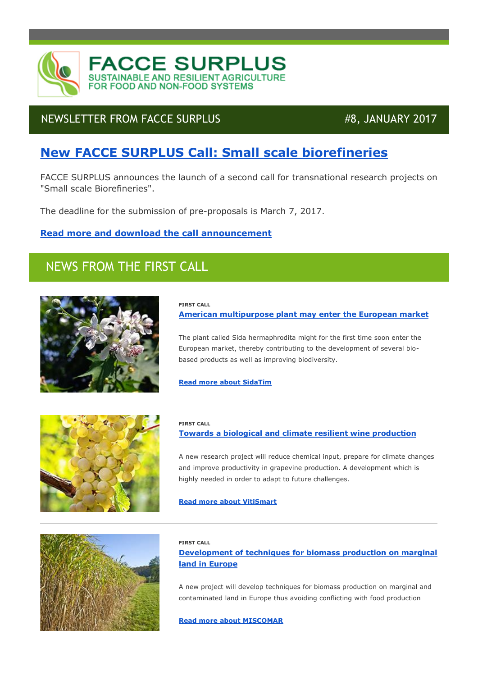

### NEWSLETTER FROM FACCE SURPLUS #8, JANUARY 2017

# **New FACCE [SURPLUS Call: Small scale biorefineries](http://faccesurplus.cmail20.com/t/j-l-urklkdt-phiijihtt-i/)**

FACCE SURPLUS announces the launch of a second call for transnational research projects on "Small scale Biorefineries".

The deadline for the submission of pre-proposals is March 7, 2017.

### **[Read more and download the call announcement](http://faccesurplus.cmail20.com/t/j-l-urklkdt-phiijihtt-h/)**

# NEWS FROM THE FIRST CALL



### **FIRST CALL**

**[American multipurpose plant may enter the European market](http://faccesurplus.cmail20.com/t/j-l-urklkdt-phiijihtt-u/)**

The plant called Sida hermaphrodita might for the first time soon enter the European market, thereby contributing to the development of several biobased products as well as improving biodiversity.

**[Read more about SidaTim](http://faccesurplus.cmail20.com/t/j-l-urklkdt-phiijihtt-o/)**





#### **FIRST CALL**

### **[Towards a biological and climate resilient wine production](http://faccesurplus.cmail20.com/t/j-l-urklkdt-phiijihtt-p/)**

A new research project will reduce chemical input, prepare for climate changes and improve productivity in grapevine production. A development which is highly needed in order to adapt to future challenges.

#### **[Read more about VitiSmart](http://faccesurplus.cmail20.com/t/j-l-urklkdt-phiijihtt-x/)**

#### **FIRST CALL**

**Development of [techniques for biomass production on marginal](http://faccesurplus.cmail20.com/t/j-l-urklkdt-phiijihtt-m/)  [land in Europe](http://faccesurplus.cmail20.com/t/j-l-urklkdt-phiijihtt-m/)**

A new project will develop techniques for biomass production on marginal and contaminated land in Europe thus avoiding conflicting with food production

**[Read more about MISCOMAR](http://faccesurplus.cmail20.com/t/j-l-urklkdt-phiijihtt-c/)**